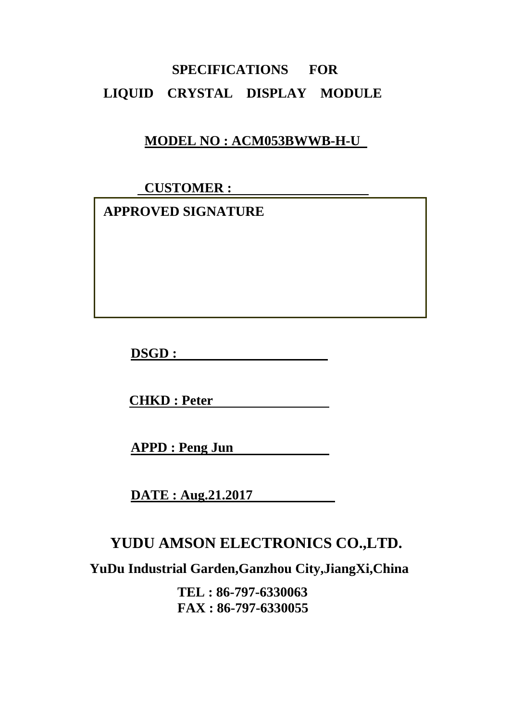## **SPECIFICATIONS FOR LIQUID CRYSTAL DISPLAY MODULE**

### **MODEL NO : ACM053BWWB-H-U**

 **CUSTOMER :** 

 **APPROVED SIGNATURE** 

**DSGD :** 

**CHKD : Peter** 

**APPD : Peng Jun** 

**DATE : Aug.21.2017** 

### **YUDU AMSON ELECTRONICS CO.,LTD.**

**YuDu Industrial Garden,Ganzhou City,JiangXi,China** 

**TEL : 86-797-6330063 FAX : 86-797-6330055**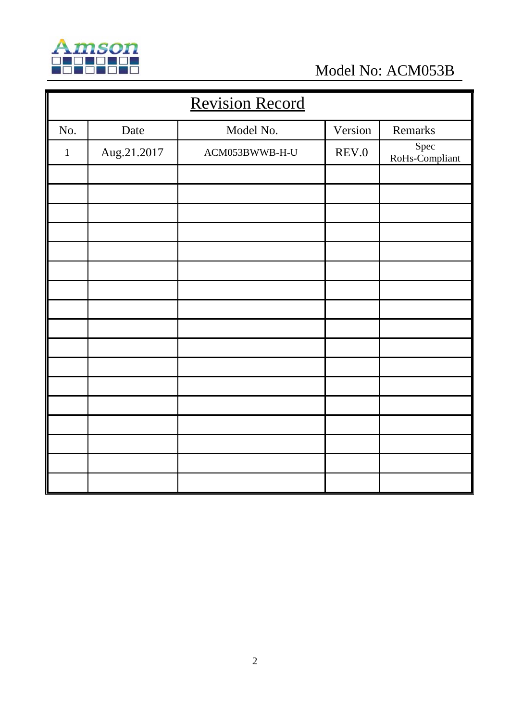

Model No: ACM053B

| <b>Revision Record</b> |             |                |         |                        |  |
|------------------------|-------------|----------------|---------|------------------------|--|
| No.                    | Date        | Model No.      | Version | Remarks                |  |
| $\mathbf{1}$           | Aug.21.2017 | ACM053BWWB-H-U | REV.0   | Spec<br>RoHs-Compliant |  |
|                        |             |                |         |                        |  |
|                        |             |                |         |                        |  |
|                        |             |                |         |                        |  |
|                        |             |                |         |                        |  |
|                        |             |                |         |                        |  |
|                        |             |                |         |                        |  |
|                        |             |                |         |                        |  |
|                        |             |                |         |                        |  |
|                        |             |                |         |                        |  |
|                        |             |                |         |                        |  |
|                        |             |                |         |                        |  |
|                        |             |                |         |                        |  |
|                        |             |                |         |                        |  |
|                        |             |                |         |                        |  |
|                        |             |                |         |                        |  |
|                        |             |                |         |                        |  |
|                        |             |                |         |                        |  |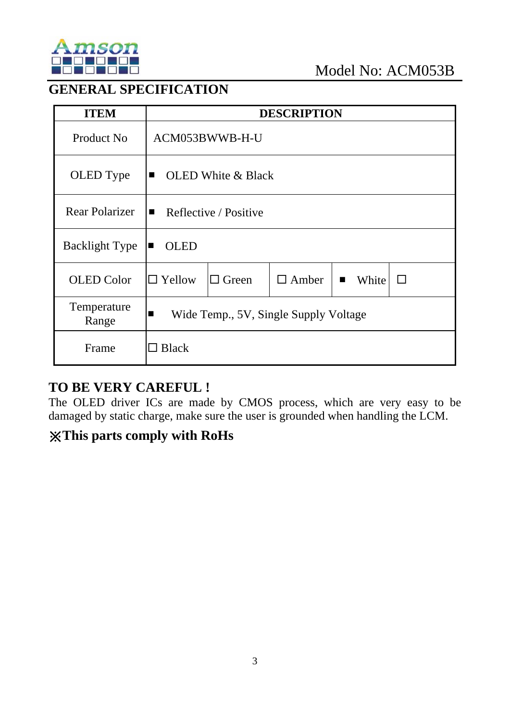

#### **GENERAL SPECIFICATION**

| <b>ITEM</b>           |                                                         |                           | <b>DESCRIPTION</b> |                         |              |
|-----------------------|---------------------------------------------------------|---------------------------|--------------------|-------------------------|--------------|
| Product No            |                                                         | ACM053BWWB-H-U            |                    |                         |              |
| OLED Type             | $\blacksquare$                                          | <b>OLED</b> White & Black |                    |                         |              |
| <b>Rear Polarizer</b> | Reflective / Positive<br>$\blacksquare$                 |                           |                    |                         |              |
| <b>Backlight Type</b> | <b>OLED</b><br>$\blacksquare$                           |                           |                    |                         |              |
| <b>OLED</b> Color     | $\Box$ Yellow                                           | $\Box$ Green              | $\Box$ Amber       | White<br>$\blacksquare$ | $\mathsf{L}$ |
| Temperature<br>Range  | Wide Temp., 5V, Single Supply Voltage<br>$\blacksquare$ |                           |                    |                         |              |
| Frame                 | $\Box$ Black                                            |                           |                    |                         |              |

#### **TO BE VERY CAREFUL !**

The OLED driver ICs are made by CMOS process, which are very easy to be damaged by static charge, make sure the user is grounded when handling the LCM.

### ※**This parts comply with RoHs**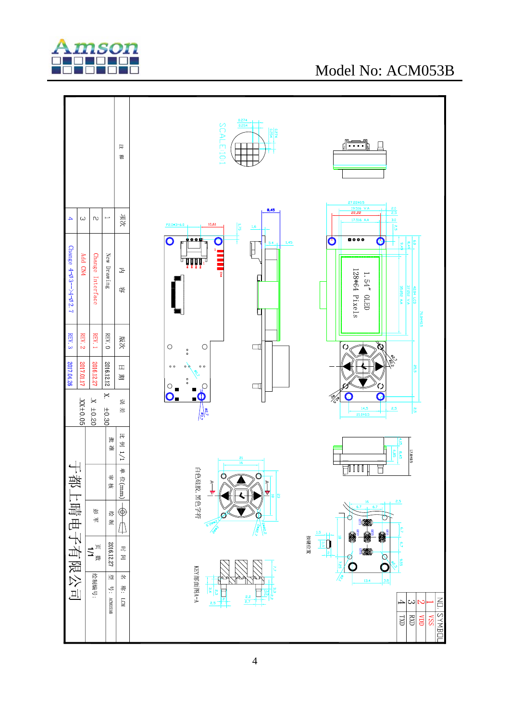

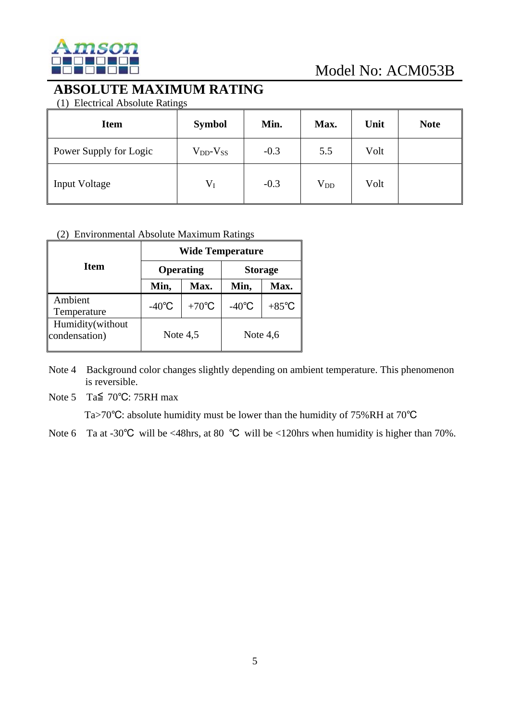

#### **ABSOLUTE MAXIMUM RATING**

(1) Electrical Absolute Ratings

| <b>Item</b>            | <b>Symbol</b>       | Min.   | Max.         | Unit | <b>Note</b> |
|------------------------|---------------------|--------|--------------|------|-------------|
| Power Supply for Logic | $V_{DD}$ - $V_{SS}$ | $-0.3$ | 5.5          | Volt |             |
| <b>Input Voltage</b>   | $V_I$               | $-0.3$ | $\rm V_{DD}$ | Volt |             |

#### (2) Environmental Absolute Maximum Ratings

|                                    | <b>Wide Temperature</b> |                 |                 |                 |  |  |
|------------------------------------|-------------------------|-----------------|-----------------|-----------------|--|--|
| Item                               |                         | Operating       | <b>Storage</b>  |                 |  |  |
|                                    | Min,                    | Max.            | Min,            | Max.            |  |  |
| Ambient<br>Temperature             | $-40^{\circ}$ C         | $+70^{\circ}$ C | $-40^{\circ}$ C | $+85^{\circ}$ C |  |  |
| Humidity(without)<br>condensation) | Note $4,5$              |                 |                 | Note $4,6$      |  |  |

Note 4 Background color changes slightly depending on ambient temperature. This phenomenon is reversible.

Note 5 Ta≦ 70℃: 75RH max

Ta>70℃: absolute humidity must be lower than the humidity of 75%RH at 70℃

Note 6 Ta at -30°C will be <48hrs, at 80 °C will be <120hrs when humidity is higher than 70%.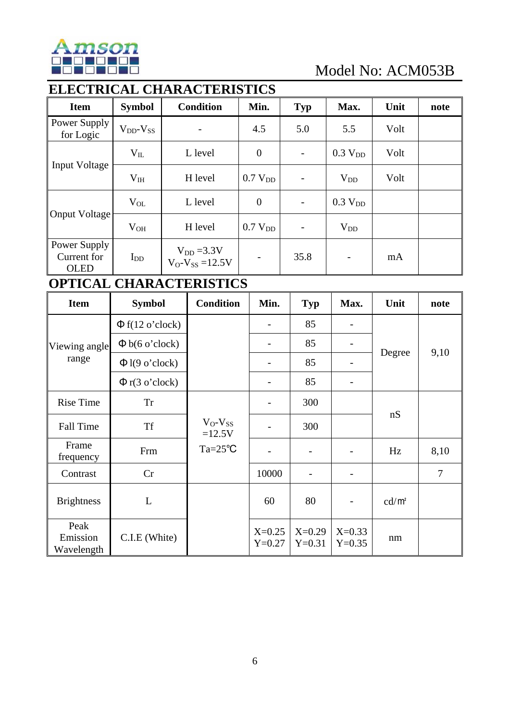

### **ELECTRICAL CHARACTERISTICS**

| <b>Item</b>                                | <b>Symbol</b>       | <b>Condition</b>                            | Min.                | <b>Typ</b>               | Max.                | Unit | note |
|--------------------------------------------|---------------------|---------------------------------------------|---------------------|--------------------------|---------------------|------|------|
| Power Supply<br>for Logic                  | $V_{DD}$ - $V_{SS}$ | $\overline{\phantom{0}}$                    | 4.5                 | 5.0                      | 5.5                 | Volt |      |
|                                            | $V_{IL}$            | L level                                     | $\boldsymbol{0}$    | $\overline{\phantom{a}}$ | 0.3 V <sub>DD</sub> | Volt |      |
| <b>Input Voltage</b>                       | $V_{IH}$            | H level                                     | 0.7 V <sub>DD</sub> |                          | $V_{DD}$            | Volt |      |
|                                            | $V_{OL}$            | L level                                     | $\overline{0}$      | $\overline{\phantom{a}}$ | 0.3 V <sub>DD</sub> |      |      |
| Onput Voltage                              | $V_{OH}$            | H level                                     | 0.7 V <sub>DD</sub> |                          | $V_{DD}$            |      |      |
| Power Supply<br>Current for<br><b>OLED</b> | $I_{DD}$            | $V_{DD} = 3.3 V$<br>$V_O - V_{SS} = 12.5 V$ |                     | 35.8                     |                     | mA   |      |

#### **OPTICAL CHARACTERISTICS**

| <b>Item</b>                    | <b>Symbol</b>        | <b>Condition</b>         | Min.                 | <b>Typ</b>               | Max.                 | Unit     | note |
|--------------------------------|----------------------|--------------------------|----------------------|--------------------------|----------------------|----------|------|
|                                | $\Phi$ f(12 o'clock) |                          |                      | 85                       |                      |          |      |
| Viewing angle<br>range         | $\Phi$ b(6 o'clock)  |                          |                      | 85                       |                      |          |      |
|                                | $\Phi$ l(9 o'clock)  |                          |                      | 85                       |                      | Degree   | 9,10 |
|                                | $\Phi$ r(3 o'clock)  |                          |                      | 85                       |                      |          |      |
| <b>Rise Time</b>               | <b>Tr</b>            |                          |                      | 300                      |                      |          |      |
| <b>Fall Time</b>               | <b>Tf</b>            | $V_O-V_{SS}$<br>$=12.5V$ |                      | 300                      |                      | nS       |      |
| Frame<br>frequency             | Frm                  | $Ta = 25^{\circ}C$       |                      | $\overline{\phantom{a}}$ |                      | Hz       | 8,10 |
| Contrast                       | Cr                   |                          | 10000                |                          |                      |          | 7    |
| <b>Brightness</b>              | L                    |                          | 60                   | 80                       |                      | $cd/m^2$ |      |
| Peak<br>Emission<br>Wavelength | C.I.E (White)        |                          | $X=0.25$<br>$Y=0.27$ | $X=0.29$<br>$Y=0.31$     | $X=0.33$<br>$Y=0.35$ | nm       |      |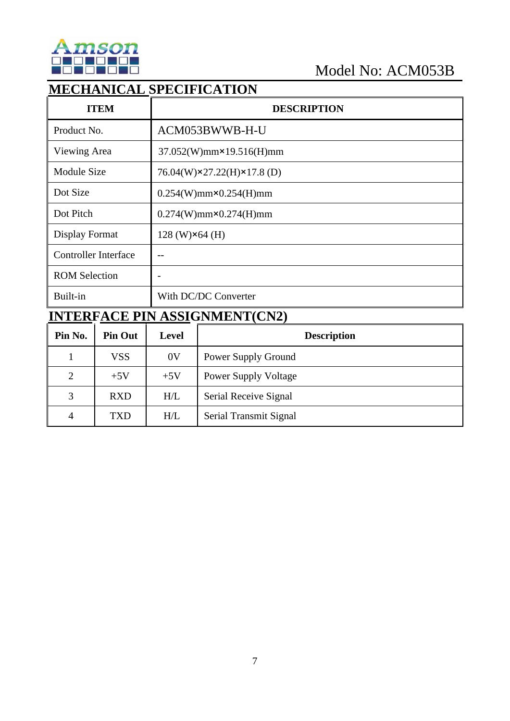

 $\overline{\mathbf{I}}$ 

### **MECHANICAL SPECIFICATION**

| <b>ITEM</b>                 | <b>DESCRIPTION</b>                |
|-----------------------------|-----------------------------------|
| Product No.                 | ACM053BWWB-H-U                    |
| Viewing Area                | $37.052(W)$ mm×19.516(H)mm        |
| <b>Module Size</b>          | 76.04(W)×27.22(H)×17.8(D)         |
| Dot Size                    | $0.254(W)$ mm $\times$ 0.254(H)mm |
| Dot Pitch                   | $0.274(W)$ mm $\times$ 0.274(H)mm |
| Display Format              | $128$ (W) $\times$ 64 (H)         |
| <b>Controller Interface</b> | $- -$                             |
| <b>ROM Selection</b>        |                                   |
| Built-in                    | With DC/DC Converter              |

# **INTERFACE PIN ASSIGNMENT(CN2)**

| Pin No.        | <b>Pin Out</b> | Level          | <b>Description</b>          |
|----------------|----------------|----------------|-----------------------------|
|                | <b>VSS</b>     | 0 <sup>V</sup> | Power Supply Ground         |
| $\overline{2}$ | $+5V$          | $+5V$          | <b>Power Supply Voltage</b> |
| 3              | <b>RXD</b>     | H/L            | Serial Receive Signal       |
| 4              | <b>TXD</b>     | H/L            | Serial Transmit Signal      |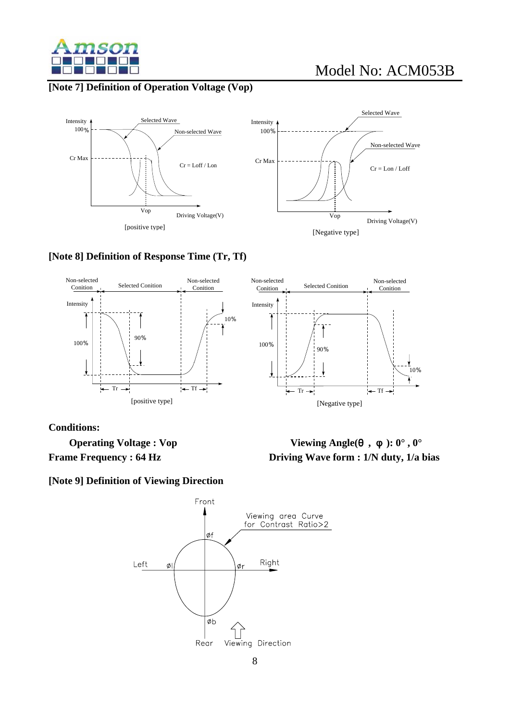

#### **[Note 7] Definition of Operation Voltage (Vop)**





#### **[Note 8] Definition of Response Time (Tr, Tf)**



#### **Conditions:**

 **Operating Voltage : Vop Viewing Angle(θ, φ): 0°, 0°** 

**Frame Frequency : 64 Hz** Driving Wave form : 1/N duty, 1/a bias

**[Note 9] Definition of Viewing Direction** 

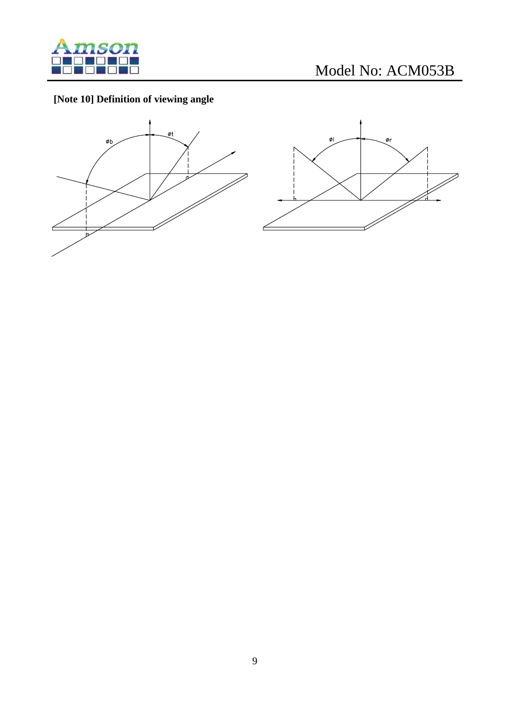

### **[Note 10] Definition of viewing angle**



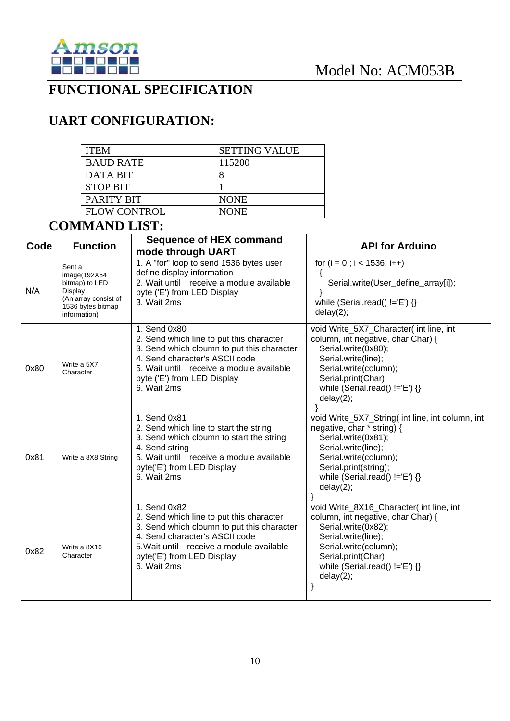

#### **FUNCTIONAL SPECIFICATION**

### **UART CONFIGURATION:**

| <b>ITEM</b>         | <b>SETTING VALUE</b> |
|---------------------|----------------------|
| <b>BAUD RATE</b>    | 115200               |
| DATA BIT            |                      |
| <b>STOP BIT</b>     |                      |
| PARITY BIT          | <b>NONE</b>          |
| <b>FLOW CONTROL</b> | <b>NONE</b>          |

### **COMMAND LIST:**

| Code | <b>Function</b>                                                                                                   | <b>Sequence of HEX command</b><br>mode through UART                                                                                                                                                                                | <b>API for Arduino</b>                                                                                                                                                                                                          |
|------|-------------------------------------------------------------------------------------------------------------------|------------------------------------------------------------------------------------------------------------------------------------------------------------------------------------------------------------------------------------|---------------------------------------------------------------------------------------------------------------------------------------------------------------------------------------------------------------------------------|
| N/A  | Sent a<br>image(192X64)<br>bitmap) to LED<br>Display<br>(An array consist of<br>1536 bytes bitmap<br>information) | 1. A "for" loop to send 1536 bytes user<br>define display information<br>2. Wait until receive a module available<br>byte ('E') from LED Display<br>3. Wait 2ms                                                                    | for $(i = 0; i < 1536; i++)$<br>$\left\{ \right.$<br>Serial.write(User_define_array[i]);<br>while (Serial.read() $!=E'$ ) {}<br>delay(2);                                                                                       |
| 0x80 | Write a 5X7<br>Character                                                                                          | 1. Send 0x80<br>2. Send which line to put this character<br>3. Send which cloumn to put this character<br>4. Send character's ASCII code<br>5. Wait until receive a module available<br>byte ('E') from LED Display<br>6. Wait 2ms | void Write_5X7_Character( int line, int<br>column, int negative, char Char) {<br>Serial.write(0x80);<br>Serial.write(line);<br>Serial.write(column);<br>Serial.print(Char);<br>while (Serial.read() $!=E'$ ) {}<br>delay(2);    |
| 0x81 | Write a 8X8 String                                                                                                | 1. Send 0x81<br>2. Send which line to start the string<br>3. Send which cloumn to start the string<br>4. Send string<br>5. Wait until receive a module available<br>byte('E') from LED Display<br>6. Wait 2ms                      | void Write_5X7_String( int line, int column, int<br>negative, char * string) {<br>Serial.write(0x81);<br>Serial.write(line);<br>Serial.write(column);<br>Serial.print(string);<br>while (Serial.read() $!=E'$ ) {}<br>delay(2); |
| 0x82 | Write a 8X16<br>Character                                                                                         | 1. Send 0x82<br>2. Send which line to put this character<br>3. Send which cloumn to put this character<br>4. Send character's ASCII code<br>5. Wait until receive a module available<br>byte('E') from LED Display<br>6. Wait 2ms  | void Write_8X16_Character( int line, int<br>column, int negative, char Char) {<br>Serial.write(0x82);<br>Serial.write(line);<br>Serial.write(column);<br>Serial.print(Char);<br>while (Serial.read() $!=$ 'E') {}<br>delay(2);  |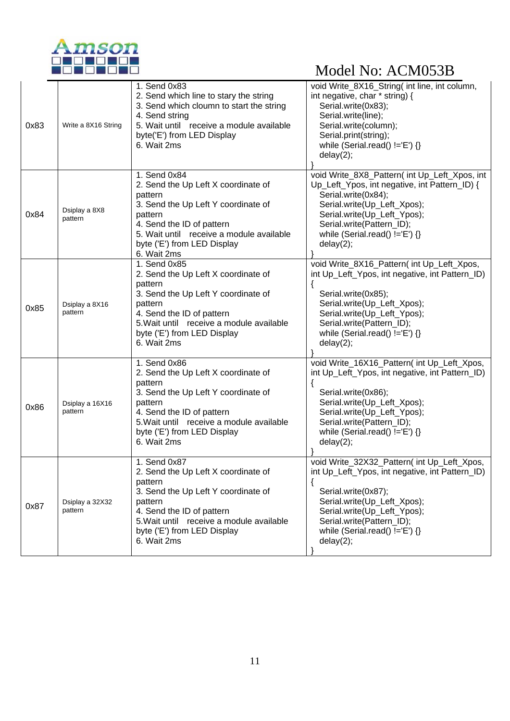

|      |                            | 1. Send 0x83                                                                                                                                                                                                                            | void Write_8X16_String( int line, int column,                                                                                                                                                                                                                            |
|------|----------------------------|-----------------------------------------------------------------------------------------------------------------------------------------------------------------------------------------------------------------------------------------|--------------------------------------------------------------------------------------------------------------------------------------------------------------------------------------------------------------------------------------------------------------------------|
| 0x83 | Write a 8X16 String        | 2. Send which line to stary the string<br>3. Send which cloumn to start the string<br>4. Send string<br>5. Wait until receive a module available<br>byte('E') from LED Display<br>6. Wait 2ms                                           | int negative, char * string) {<br>Serial.write(0x83);<br>Serial.write(line);<br>Serial.write(column);<br>Serial.print(string);<br>while (Serial.read() $!=$ 'E') {}<br>delay(2);                                                                                         |
| 0x84 | Dsiplay a 8X8<br>pattern   | 1. Send 0x84<br>2. Send the Up Left X coordinate of<br>pattern<br>3. Send the Up Left Y coordinate of<br>pattern<br>4. Send the ID of pattern<br>5. Wait until receive a module available<br>byte ('E') from LED Display<br>6. Wait 2ms | void Write_8X8_Pattern( int Up_Left_Xpos, int<br>Up_Left_Ypos, int negative, int Pattern_ID) {<br>Serial.write(0x84);<br>Serial.write(Up_Left_Xpos);<br>Serial.write(Up_Left_Ypos);<br>Serial.write(Pattern_ID);<br>while (Serial.read() $!=E$ ) {}<br>delay(2);         |
| 0x85 | Dsiplay a 8X16<br>pattern  | 1. Send 0x85<br>2. Send the Up Left X coordinate of<br>pattern<br>3. Send the Up Left Y coordinate of<br>pattern<br>4. Send the ID of pattern<br>5. Wait until receive a module available<br>byte ('E') from LED Display<br>6. Wait 2ms | void Write_8X16_Pattern( int Up_Left_Xpos,<br>int Up_Left_Ypos, int negative, int Pattern_ID)<br>$\{$<br>Serial.write(0x85);<br>Serial.write(Up_Left_Xpos);<br>Serial.write(Up_Left_Ypos);<br>Serial.write(Pattern_ID);<br>while (Serial.read() $!=E'$ ) {}<br>delay(2); |
| 0x86 | Dsiplay a 16X16<br>pattern | 1. Send 0x86<br>2. Send the Up Left X coordinate of<br>pattern<br>3. Send the Up Left Y coordinate of<br>pattern<br>4. Send the ID of pattern<br>5. Wait until receive a module available<br>byte ('E') from LED Display<br>6. Wait 2ms | void Write_16X16_Pattern( int Up_Left_Xpos,<br>int Up_Left_Ypos, int negative, int Pattern_ID)<br>Serial.write(0x86);<br>Serial.write(Up_Left_Xpos);<br>Serial.write(Up_Left_Ypos);<br>Serial.write(Pattern_ID);<br>while (Serial.read() $!=$ 'E') {}<br>delay(2);       |
| 0x87 | Dsiplay a 32X32<br>pattern | 1. Send 0x87<br>2. Send the Up Left X coordinate of<br>pattern<br>3. Send the Up Left Y coordinate of<br>pattern<br>4. Send the ID of pattern<br>5. Wait until receive a module available<br>byte ('E') from LED Display<br>6. Wait 2ms | void Write_32X32_Pattern(int Up_Left_Xpos,<br>int Up_Left_Ypos, int negative, int Pattern_ID)<br>Serial.write(0x87);<br>Serial.write(Up_Left_Xpos);<br>Serial.write(Up_Left_Ypos);<br>Serial.write(Pattern_ID);<br>while (Serial.read() $!=$ 'E') {}<br>delay(2);        |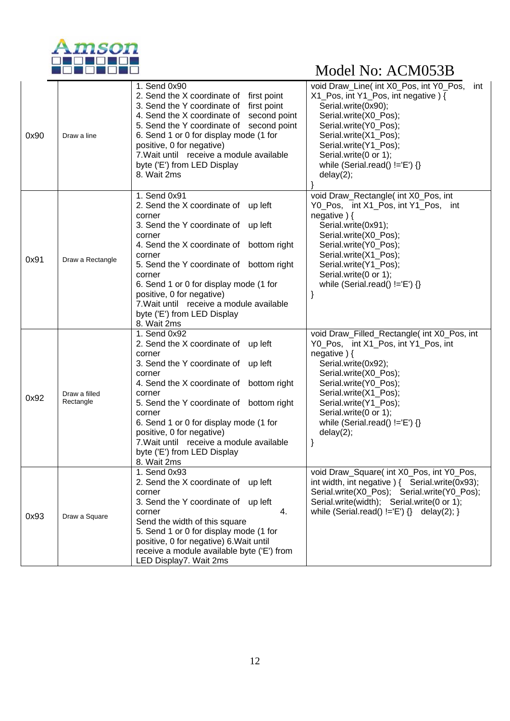

|      |                            | 1. Send 0x90                                                                                                                                                                                                                                                                                                                                                                                | void Draw_Line( int X0_Pos, int Y0_Pos,                                                                                                                                                                                                                                                                         |
|------|----------------------------|---------------------------------------------------------------------------------------------------------------------------------------------------------------------------------------------------------------------------------------------------------------------------------------------------------------------------------------------------------------------------------------------|-----------------------------------------------------------------------------------------------------------------------------------------------------------------------------------------------------------------------------------------------------------------------------------------------------------------|
| 0x90 | Draw a line                | 2. Send the X coordinate of first point<br>3. Send the Y coordinate of first point<br>4. Send the X coordinate of second point<br>5. Send the Y coordinate of second point<br>6. Send 1 or 0 for display mode (1 for<br>positive, 0 for negative)<br>7. Wait until receive a module available<br>byte ('E') from LED Display<br>8. Wait 2ms                                                 | int<br>X1_Pos, int Y1_Pos, int negative) {<br>Serial.write(0x90);<br>Serial.write(X0_Pos);<br>Serial.write(Y0_Pos);<br>Serial.write(X1 Pos);<br>Serial.write(Y1_Pos);<br>Serial.write(0 or 1);<br>while (Serial.read() $!=$ 'E') {}<br>delay(2);                                                                |
| 0x91 | Draw a Rectangle           | 1. Send 0x91<br>2. Send the X coordinate of up left<br>corner<br>3. Send the Y coordinate of up left<br>corner<br>4. Send the X coordinate of bottom right<br>corner<br>5. Send the Y coordinate of bottom right<br>corner<br>6. Send 1 or 0 for display mode (1 for<br>positive, 0 for negative)<br>7. Wait until receive a module available<br>byte ('E') from LED Display<br>8. Wait 2ms | void Draw_Rectangle( int X0_Pos, int<br>Y0_Pos, int X1_Pos, int Y1_Pos, int<br>negative) {<br>Serial.write(0x91);<br>Serial.write(X0_Pos);<br>Serial.write(Y0_Pos);<br>Serial.write(X1_Pos);<br>Serial.write(Y1_Pos);<br>Serial.write(0 or 1);<br>while (Serial.read() $!=$ 'E') {}                             |
| 0x92 | Draw a filled<br>Rectangle | 1. Send 0x92<br>2. Send the X coordinate of up left<br>corner<br>3. Send the Y coordinate of up left<br>corner<br>4. Send the X coordinate of bottom right<br>corner<br>5. Send the Y coordinate of bottom right<br>corner<br>6. Send 1 or 0 for display mode (1 for<br>positive, 0 for negative)<br>7. Wait until receive a module available<br>byte ('E') from LED Display<br>8. Wait 2ms | void Draw_Filled_Rectangle( int X0_Pos, int<br>Y0_Pos, int X1_Pos, int Y1_Pos, int<br>negative $)$ {<br>Serial.write(0x92);<br>Serial.write(X0_Pos);<br>Serial.write(Y0_Pos);<br>Serial.write(X1_Pos);<br>Serial.write(Y1_Pos);<br>Serial.write(0 or 1);<br>while (Serial.read() $!=$ 'E') {}<br>delay(2);<br>} |
| 0x93 | Draw a Square              | 1. Send 0x93<br>2. Send the X coordinate of up left<br>corner<br>3. Send the Y coordinate of up left<br>corner<br>4.<br>Send the width of this square<br>5. Send 1 or 0 for display mode (1 for<br>positive, 0 for negative) 6. Wait until<br>receive a module available byte ('E') from<br>LED Display7. Wait 2ms                                                                          | void Draw_Square( int X0_Pos, int Y0_Pos,<br>int width, int negative ) { Serial.write(0x93);<br>Serial.write(X0_Pos); Serial.write(Y0_Pos);<br>Serial.write(width); Serial.write(0 or 1);<br>while (Serial.read() $!=E'$ ) {} delay(2); }                                                                       |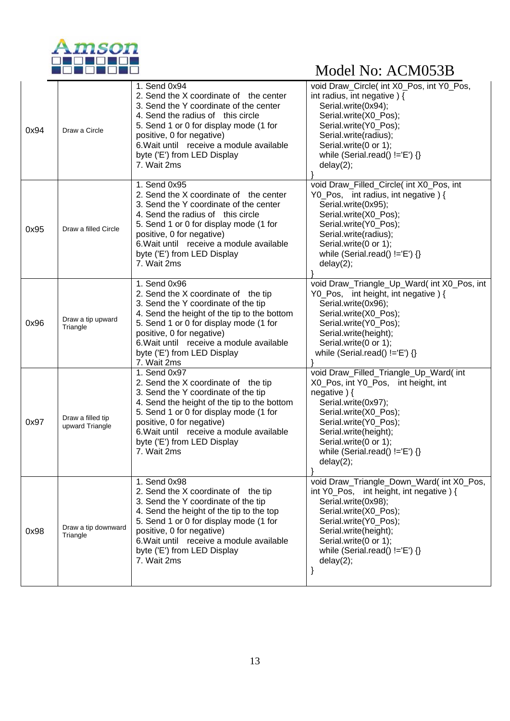

| 0x94 | Draw a Circle                        | 1. Send 0x94<br>2. Send the X coordinate of the center<br>3. Send the Y coordinate of the center<br>4. Send the radius of this circle<br>5. Send 1 or 0 for display mode (1 for<br>positive, 0 for negative)<br>6. Wait until receive a module available<br>byte ('E') from LED Display<br>7. Wait 2ms     | void Draw_Circle( int X0_Pos, int Y0_Pos,<br>int radius, int negative) {<br>Serial.write(0x94);<br>Serial.write(X0_Pos);<br>Serial.write(Y0_Pos);<br>Serial.write(radius);<br>Serial.write(0 or 1);<br>while (Serial.read() $!=$ 'E') {}<br>delay(2);                       |
|------|--------------------------------------|------------------------------------------------------------------------------------------------------------------------------------------------------------------------------------------------------------------------------------------------------------------------------------------------------------|-----------------------------------------------------------------------------------------------------------------------------------------------------------------------------------------------------------------------------------------------------------------------------|
| 0x95 | Draw a filled Circle                 | 1. Send 0x95<br>2. Send the X coordinate of the center<br>3. Send the Y coordinate of the center<br>4. Send the radius of this circle<br>5. Send 1 or 0 for display mode (1 for<br>positive, 0 for negative)<br>6. Wait until receive a module available<br>byte ('E') from LED Display<br>7. Wait 2ms     | void Draw_Filled_Circle( int X0_Pos, int<br>Y0_Pos, int radius, int negative) {<br>Serial.write(0x95);<br>Serial.write(X0_Pos);<br>Serial.write(Y0_Pos);<br>Serial.write(radius);<br>Serial.write(0 or 1);<br>while (Serial.read() $!=E'$ ) {}<br>delay(2);                 |
| 0x96 | Draw a tip upward<br>Triangle        | 1. Send 0x96<br>2. Send the X coordinate of the tip<br>3. Send the Y coordinate of the tip<br>4. Send the height of the tip to the bottom<br>5. Send 1 or 0 for display mode (1 for<br>positive, 0 for negative)<br>6. Wait until receive a module available<br>byte ('E') from LED Display<br>7. Wait 2ms | void Draw_Triangle_Up_Ward( int X0_Pos, int<br>Y0_Pos, int height, int negative) {<br>Serial.write(0x96);<br>Serial.write(X0_Pos);<br>Serial.write(Y0_Pos);<br>Serial.write(height);<br>Serial.write(0 or 1);<br>while (Serial.read() $!=E'$ ) {}                           |
| 0x97 | Draw a filled tip<br>upward Triangle | 1. Send 0x97<br>2. Send the X coordinate of the tip<br>3. Send the Y coordinate of the tip<br>4. Send the height of the tip to the bottom<br>5. Send 1 or 0 for display mode (1 for<br>positive, 0 for negative)<br>6. Wait until receive a module available<br>byte ('E') from LED Display<br>7. Wait 2ms | void Draw_Filled_Triangle_Up_Ward( int<br>X0_Pos, int Y0_Pos, int height, int<br>negative $)$ {<br>Serial.write(0x97);<br>Serial.write(X0_Pos);<br>Serial.write(Y0_Pos);<br>Serial.write(height);<br>Serial.write(0 or 1);<br>while (Serial.read() $!=E'$ ) {}<br>delay(2); |
| 0x98 | Draw a tip downward<br>Triangle      | 1. Send 0x98<br>2. Send the X coordinate of the tip<br>3. Send the Y coordinate of the tip<br>4. Send the height of the tip to the top<br>5. Send 1 or 0 for display mode (1 for<br>positive, 0 for negative)<br>6. Wait until receive a module available<br>byte ('E') from LED Display<br>7. Wait 2ms    | void Draw_Triangle_Down_Ward( int X0_Pos,<br>int Y0_Pos, int height, int negative) {<br>Serial.write(0x98);<br>Serial.write(X0 Pos);<br>Serial.write(Y0_Pos);<br>Serial.write(height);<br>Serial.write(0 or 1);<br>while (Serial.read() $!=$ 'E') {}<br>delay(2);<br>}      |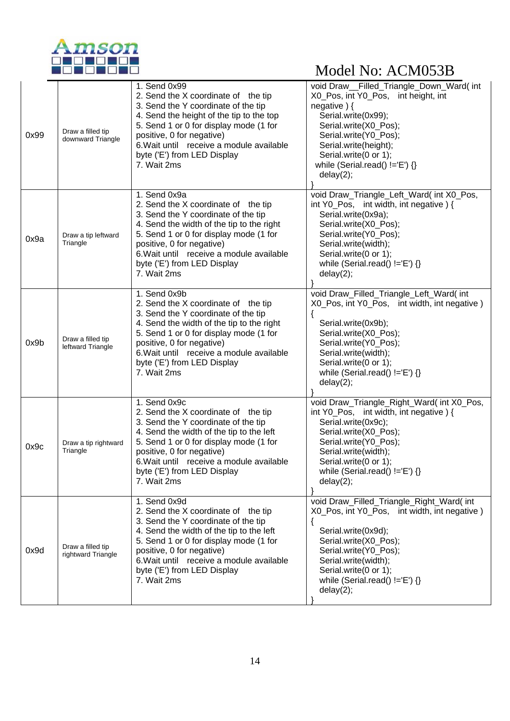

| 0x99 | Draw a filled tip<br>downward Triangle  | 1. Send 0x99<br>2. Send the X coordinate of the tip<br>3. Send the Y coordinate of the tip<br>4. Send the height of the tip to the top<br>5. Send 1 or 0 for display mode (1 for<br>positive, 0 for negative)<br>6. Wait until receive a module available<br>byte ('E') from LED Display<br>7. Wait 2ms  | void Draw_Filled_Triangle_Down_Ward(int<br>X0 Pos, int Y0 Pos, int height, int<br>negative $)$ {<br>Serial.write(0x99);<br>Serial.write(X0_Pos);<br>Serial.write(Y0_Pos);<br>Serial.write(height);<br>Serial.write(0 or 1);<br>while (Serial.read() !='E') {}<br>delay(2); |
|------|-----------------------------------------|----------------------------------------------------------------------------------------------------------------------------------------------------------------------------------------------------------------------------------------------------------------------------------------------------------|----------------------------------------------------------------------------------------------------------------------------------------------------------------------------------------------------------------------------------------------------------------------------|
| 0x9a | Draw a tip leftward<br>Triangle         | 1. Send 0x9a<br>2. Send the X coordinate of the tip<br>3. Send the Y coordinate of the tip<br>4. Send the width of the tip to the right<br>5. Send 1 or 0 for display mode (1 for<br>positive, 0 for negative)<br>6. Wait until receive a module available<br>byte ('E') from LED Display<br>7. Wait 2ms | void Draw_Triangle_Left_Ward( int X0_Pos,<br>int Y0_Pos, int width, int negative $\}$ {<br>Serial.write(0x9a);<br>Serial.write(X0_Pos);<br>Serial.write(Y0_Pos);<br>Serial.write(width);<br>Serial.write(0 or 1);<br>while (Serial.read() $!=$ 'E') {}<br>delay(2);        |
| 0x9b | Draw a filled tip<br>leftward Triangle  | 1. Send 0x9b<br>2. Send the X coordinate of the tip<br>3. Send the Y coordinate of the tip<br>4. Send the width of the tip to the right<br>5. Send 1 or 0 for display mode (1 for<br>positive, 0 for negative)<br>6. Wait until receive a module available<br>byte ('E') from LED Display<br>7. Wait 2ms | void Draw_Filled_Triangle_Left_Ward( int<br>X0_Pos, int Y0_Pos, int width, int negative)<br>{<br>Serial.write(0x9b);<br>Serial.write(X0_Pos);<br>Serial.write(Y0_Pos);<br>Serial.write(width);<br>Serial.write(0 or 1);<br>while (Serial.read() $!=$ 'E') {}<br>delay(2);  |
| 0x9c | Draw a tip rightward<br>Triangle        | 1. Send 0x9c<br>2. Send the X coordinate of the tip<br>3. Send the Y coordinate of the tip<br>4. Send the width of the tip to the left<br>5. Send 1 or 0 for display mode (1 for<br>positive, 0 for negative)<br>6. Wait until receive a module available<br>byte ('E') from LED Display<br>7. Wait 2ms  | void Draw_Triangle_Right_Ward(int X0_Pos,<br>int Y0_Pos, int width, int negative) {<br>Serial.write(0x9c);<br>Serial.write(X0_Pos);<br>Serial.write(Y0_Pos);<br>Serial.write(width);<br>Serial.write(0 or 1);<br>while (Serial.read() $!=E'$ ) {}<br>delay(2);             |
| 0x9d | Draw a filled tip<br>rightward Triangle | 1. Send 0x9d<br>2. Send the X coordinate of the tip<br>3. Send the Y coordinate of the tip<br>4. Send the width of the tip to the left<br>5. Send 1 or 0 for display mode (1 for<br>positive, 0 for negative)<br>6. Wait until receive a module available<br>byte ('E') from LED Display<br>7. Wait 2ms  | void Draw_Filled_Triangle_Right_Ward(int<br>X0_Pos, int Y0_Pos, int width, int negative)<br>Serial.write(0x9d);<br>Serial.write(X0_Pos);<br>Serial.write(Y0_Pos);<br>Serial.write(width);<br>Serial.write(0 or 1);<br>while (Serial.read() $!=$ 'E') {}<br>delay(2);       |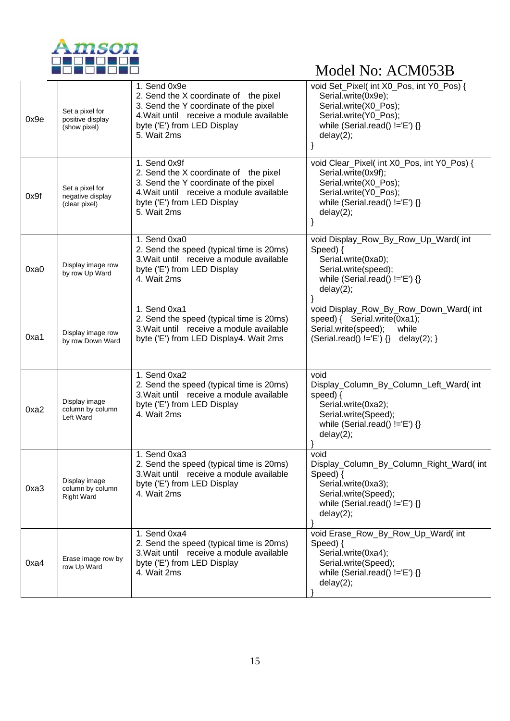

| 0x9e | Set a pixel for<br>positive display<br>(show pixel)    | 1. Send 0x9e<br>2. Send the X coordinate of the pixel<br>3. Send the Y coordinate of the pixel<br>4. Wait until receive a module available<br>byte ('E') from LED Display<br>5. Wait 2ms | void Set_Pixel( int X0_Pos, int Y0_Pos) {<br>Serial.write(0x9e);<br>Serial.write(X0_Pos);<br>Serial.write(Y0_Pos);<br>while (Serial.read() $!=E'$ ) {}<br>delay(2);   |
|------|--------------------------------------------------------|------------------------------------------------------------------------------------------------------------------------------------------------------------------------------------------|-----------------------------------------------------------------------------------------------------------------------------------------------------------------------|
| 0x9f | Set a pixel for<br>negative display<br>(clear pixel)   | 1. Send 0x9f<br>2. Send the X coordinate of the pixel<br>3. Send the Y coordinate of the pixel<br>4. Wait until receive a module available<br>byte ('E') from LED Display<br>5. Wait 2ms | void Clear_Pixel( int X0_Pos, int Y0_Pos) {<br>Serial.write(0x9f);<br>Serial.write(X0_Pos);<br>Serial.write(Y0_Pos);<br>while (Serial.read() $!=E'$ ) {}<br>delay(2); |
| 0xa0 | Display image row<br>by row Up Ward                    | 1. Send 0xa0<br>2. Send the speed (typical time is 20ms)<br>3. Wait until receive a module available<br>byte ('E') from LED Display<br>4. Wait 2ms                                       | void Display_Row_By_Row_Up_Ward( int<br>Speed) {<br>Serial.write(0xa0);<br>Serial.write(speed);<br>while (Serial.read() $!=E'$ ) {}<br>delay(2);                      |
| 0xa1 | Display image row<br>by row Down Ward                  | 1. Send 0xa1<br>2. Send the speed (typical time is 20ms)<br>3. Wait until receive a module available<br>byte ('E') from LED Display4. Wait 2ms                                           | void Display_Row_By_Row_Down_Ward( int<br>speed) { Serial.write(0xa1);<br>Serial.write(speed);<br>while<br>(Serial.read() !='E') $\{ \}$ delay(2); $\}$               |
| 0xa2 | Display image<br>column by column<br>Left Ward         | 1. Send 0xa2<br>2. Send the speed (typical time is 20ms)<br>3. Wait until receive a module available<br>byte ('E') from LED Display<br>4. Wait 2ms                                       | void<br>Display_Column_By_Column_Left_Ward(int<br>speed) $\{$<br>Serial.write(0xa2);<br>Serial.write(Speed);<br>while (Serial.read() $!=E'$ ) {}<br>delay(2);         |
| 0xa3 | Display image<br>column by column<br><b>Right Ward</b> | 1. Send 0xa3<br>2. Send the speed (typical time is 20ms)<br>3. Wait until receive a module available<br>byte ('E') from LED Display<br>4. Wait 2ms                                       | void<br>Display_Column_By_Column_Right_Ward(int<br>Speed) $\{$<br>Serial.write(0xa3);<br>Serial.write(Speed);<br>while (Serial.read() $!=$ 'E') {}<br>delay(2);       |
| 0xa4 | Erase image row by<br>row Up Ward                      | 1. Send 0xa4<br>2. Send the speed (typical time is 20ms)<br>3. Wait until receive a module available<br>byte ('E') from LED Display<br>4. Wait 2ms                                       | void Erase_Row_By_Row_Up_Ward( int<br>Speed) $\{$<br>Serial.write(0xa4);<br>Serial.write(Speed);<br>while (Serial.read() $!=E$ ) {}<br>delay(2);                      |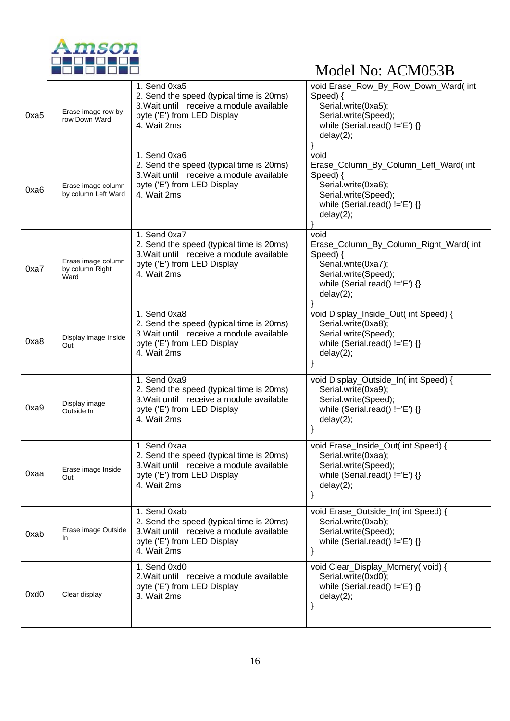

|      |                                               | 1. Send 0xa5                                                                                                                                       | void Erase_Row_By_Row_Down_Ward( int                                                                                                                      |
|------|-----------------------------------------------|----------------------------------------------------------------------------------------------------------------------------------------------------|-----------------------------------------------------------------------------------------------------------------------------------------------------------|
| 0xa5 | Erase image row by<br>row Down Ward           | 2. Send the speed (typical time is 20ms)<br>3. Wait until receive a module available<br>byte ('E') from LED Display<br>4. Wait 2ms                 | Speed) {<br>Serial.write(0xa5);<br>Serial.write(Speed);<br>while (Serial.read() $!=E'$ ) {}<br>delay(2);                                                  |
| 0xa6 | Erase image column<br>by column Left Ward     | 1. Send 0xa6<br>2. Send the speed (typical time is 20ms)<br>3. Wait until receive a module available<br>byte ('E') from LED Display<br>4. Wait 2ms | void<br>Erase_Column_By_Column_Left_Ward( int<br>Speed) {<br>Serial.write(0xa6);<br>Serial.write(Speed);<br>while (Serial.read() $!=E'$ ) {}<br>delay(2); |
| 0xa7 | Erase image column<br>by column Right<br>Ward | 1. Send 0xa7<br>2. Send the speed (typical time is 20ms)<br>3. Wait until receive a module available<br>byte ('E') from LED Display<br>4. Wait 2ms | void<br>Erase_Column_By_Column_Right_Ward(int<br>Speed) {<br>Serial.write(0xa7);<br>Serial.write(Speed);<br>while (Serial.read() $!=E'$ ) {}<br>delay(2); |
| 0xa8 | Display image Inside<br>Out                   | 1. Send 0xa8<br>2. Send the speed (typical time is 20ms)<br>3. Wait until receive a module available<br>byte ('E') from LED Display<br>4. Wait 2ms | void Display_Inside_Out( int Speed) {<br>Serial.write(0xa8);<br>Serial.write(Speed);<br>while (Serial.read() $!=E'$ ) {}<br>delay(2);<br>}                |
| 0xa9 | Display image<br>Outside In                   | 1. Send 0xa9<br>2. Send the speed (typical time is 20ms)<br>3. Wait until receive a module available<br>byte ('E') from LED Display<br>4. Wait 2ms | void Display_Outside_In( int Speed) {<br>Serial.write(0xa9);<br>Serial.write(Speed);<br>while (Serial.read() $!=E'$ ) {}<br>delay(2);<br>}                |
| 0xaa | Erase image Inside<br>Out                     | 1. Send 0xaa<br>2. Send the speed (typical time is 20ms)<br>3. Wait until receive a module available<br>byte ('E') from LED Display<br>4. Wait 2ms | void Erase_Inside_Out( int Speed) {<br>Serial.write(0xaa);<br>Serial.write(Speed);<br>while (Serial.read() $!=$ 'E') {}<br>delay(2);<br>}                 |
| 0xab | Erase image Outside<br>In.                    | 1. Send 0xab<br>2. Send the speed (typical time is 20ms)<br>3. Wait until receive a module available<br>byte ('E') from LED Display<br>4. Wait 2ms | void Erase_Outside_In( int Speed) {<br>Serial.write(0xab);<br>Serial.write(Speed);<br>while (Serial.read() $!=$ 'E') {}<br>}                              |
| 0xd0 | Clear display                                 | 1. Send 0xd0<br>2. Wait until receive a module available<br>byte ('E') from LED Display<br>3. Wait 2ms                                             | void Clear_Display_Momery(void) {<br>Serial.write(0xd0);<br>while (Serial.read() $!=E'$ ) {}<br>delay(2);<br>}                                            |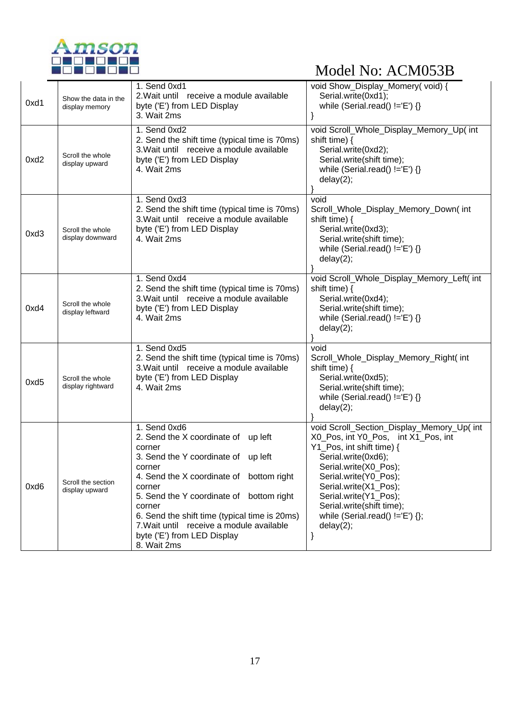

| 0xd1 | Show the data in the<br>display memory | 1. Send 0xd1<br>2. Wait until receive a module available<br>byte ('E') from LED Display<br>3. Wait 2ms                                                                                                                                                                                                                                                                | void Show_Display_Momery(void) {<br>Serial.write(0xd1);<br>while (Serial.read() $!=$ 'E') {}                                                                                                                                                                                                                                          |
|------|----------------------------------------|-----------------------------------------------------------------------------------------------------------------------------------------------------------------------------------------------------------------------------------------------------------------------------------------------------------------------------------------------------------------------|---------------------------------------------------------------------------------------------------------------------------------------------------------------------------------------------------------------------------------------------------------------------------------------------------------------------------------------|
| 0xd2 | Scroll the whole<br>display upward     | 1. Send 0xd2<br>2. Send the shift time (typical time is 70ms)<br>3. Wait until receive a module available<br>byte ('E') from LED Display<br>4. Wait 2ms                                                                                                                                                                                                               | void Scroll_Whole_Display_Memory_Up( int<br>shift time) $\{$<br>Serial.write(0xd2);<br>Serial.write(shift time);<br>while (Serial.read() $!=E$ ) {}<br>delay(2);                                                                                                                                                                      |
| 0xd3 | Scroll the whole<br>display downward   | 1. Send 0xd3<br>2. Send the shift time (typical time is 70ms)<br>3. Wait until receive a module available<br>byte ('E') from LED Display<br>4. Wait 2ms                                                                                                                                                                                                               | void<br>Scroll_Whole_Display_Memory_Down(int<br>shift time) $\{$<br>Serial.write(0xd3);<br>Serial.write(shift time);<br>while (Serial.read() $!=$ 'E') {}<br>delay(2);                                                                                                                                                                |
| 0xd4 | Scroll the whole<br>display leftward   | 1. Send 0xd4<br>2. Send the shift time (typical time is 70ms)<br>3. Wait until receive a module available<br>byte ('E') from LED Display<br>4. Wait 2ms                                                                                                                                                                                                               | void Scroll_Whole_Display_Memory_Left( int<br>shift time) {<br>Serial.write(0xd4);<br>Serial.write(shift time);<br>while (Serial.read() $!=$ 'E') {}<br>delay(2);                                                                                                                                                                     |
| 0xd5 | Scroll the whole<br>display rightward  | 1. Send 0xd5<br>2. Send the shift time (typical time is 70ms)<br>3. Wait until receive a module available<br>byte ('E') from LED Display<br>4. Wait 2ms                                                                                                                                                                                                               | void<br>Scroll_Whole_Display_Memory_Right( int<br>shift time) {<br>Serial.write(0xd5);<br>Serial.write(shift time);<br>while (Serial.read() $!=E'$ ) {}<br>delay(2);                                                                                                                                                                  |
| 0xd6 | Scroll the section<br>display upward   | 1. Send 0xd6<br>2. Send the X coordinate of up left<br>corner<br>3. Send the Y coordinate of up left<br>corner<br>4. Send the X coordinate of bottom right<br>corner<br>5. Send the Y coordinate of bottom right<br>corner<br>6. Send the shift time (typical time is 20ms)<br>7. Wait until receive a module available<br>byte ('E') from LED Display<br>8. Wait 2ms | void Scroll_Section_Display_Memory_Up( int<br>X0_Pos, int Y0_Pos, int X1_Pos, int<br>Y1 Pos, int shift time) {<br>Serial.write(0xd6);<br>Serial.write(X0_Pos);<br>Serial.write(Y0_Pos);<br>Serial.write(X1_Pos);<br>Serial.write(Y1_Pos);<br>Serial.write(shift time);<br>while (Serial.read() $!=$ $E'$ ) $\{\}$ ;<br>delay(2);<br>} |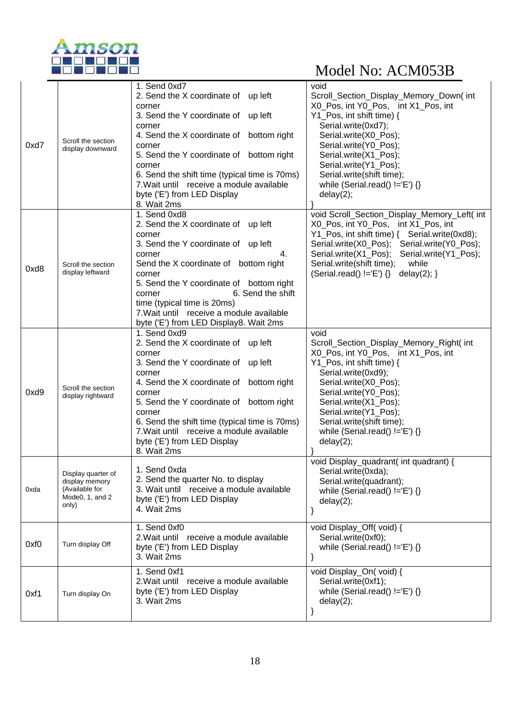

|      |                                  | 1. Send 0xd7                                                                              | void                                                          |
|------|----------------------------------|-------------------------------------------------------------------------------------------|---------------------------------------------------------------|
|      |                                  | 2. Send the X coordinate of up left                                                       | Scroll_Section_Display_Memory_Down(int                        |
|      |                                  | corner                                                                                    | X0_Pos, int Y0_Pos, int X1_Pos, int                           |
|      |                                  | 3. Send the Y coordinate of up left                                                       | Y1_Pos, int shift time) {                                     |
|      |                                  | corner                                                                                    | Serial.write(0xd7);                                           |
|      | Scroll the section               | 4. Send the X coordinate of bottom right                                                  | Serial.write(X0_Pos);                                         |
| 0xd7 | display downward                 | corner                                                                                    | Serial.write(Y0_Pos);                                         |
|      |                                  | 5. Send the Y coordinate of bottom right                                                  | Serial.write(X1_Pos);                                         |
|      |                                  | corner                                                                                    | Serial.write(Y1 Pos);                                         |
|      |                                  | 6. Send the shift time (typical time is 70ms)<br>7. Wait until receive a module available | Serial.write(shift time);<br>while (Serial.read() $!=E'$ ) {} |
|      |                                  | byte ('E') from LED Display                                                               | delay(2);                                                     |
|      |                                  | 8. Wait 2ms                                                                               |                                                               |
|      |                                  | 1. Send 0xd8                                                                              | void Scroll_Section_Display_Memory_Left( int                  |
|      |                                  | 2. Send the X coordinate of up left                                                       | X0_Pos, int Y0_Pos, int X1_Pos, int                           |
|      |                                  | corner                                                                                    |                                                               |
|      |                                  | 3. Send the Y coordinate of up left                                                       | Serial.write(X0_Pos); Serial.write(Y0_Pos);                   |
|      |                                  | 4.<br>corner                                                                              | Serial.write(X1_Pos); Serial.write(Y1_Pos);                   |
| 0xd8 | Scroll the section               | Send the X coordinate of bottom right                                                     | Serial.write(shift time);<br>while                            |
|      | display leftward                 | corner                                                                                    | $(Serial.read() != 'E') \$ delay(2); }                        |
|      |                                  | 5. Send the Y coordinate of bottom right                                                  |                                                               |
|      |                                  | 6. Send the shift<br>corner<br>time (typical time is 20ms)                                |                                                               |
|      |                                  | 7. Wait until receive a module available                                                  |                                                               |
|      |                                  | byte ('E') from LED Display8. Wait 2ms                                                    |                                                               |
|      |                                  | 1. Send 0xd9                                                                              | void                                                          |
|      |                                  | 2. Send the X coordinate of up left                                                       | Scroll_Section_Display_Memory_Right( int                      |
|      |                                  | corner                                                                                    | X0_Pos, int Y0_Pos, int X1_Pos, int                           |
|      |                                  | 3. Send the Y coordinate of up left                                                       | Y1_Pos, int shift time) {                                     |
|      |                                  | corner                                                                                    | Serial.write(0xd9);                                           |
|      | Scroll the section               | 4. Send the X coordinate of bottom right                                                  | Serial.write(X0_Pos);                                         |
| 0xd9 | display rightward                | corner                                                                                    | Serial.write(Y0_Pos);                                         |
|      |                                  | 5. Send the Y coordinate of bottom right<br>corner                                        | Serial.write(X1_Pos);<br>Serial.write(Y1_Pos);                |
|      |                                  | 6. Send the shift time (typical time is 70ms)                                             | Serial.write(shift time);                                     |
|      |                                  | 7. Wait until receive a module available                                                  | while (Serial.read() $!=$ 'E') $\{\}$                         |
|      |                                  | byte ('E') from LED Display                                                               | delay(2);                                                     |
|      |                                  | 8. Wait 2ms                                                                               |                                                               |
|      |                                  |                                                                                           | void Display_quadrant( int quadrant) {                        |
|      | Display quarter of               | 1. Send 0xda                                                                              | Serial.write(0xda);                                           |
| 0xda | display memory<br>(Available for | 2. Send the quarter No. to display<br>3. Wait until receive a module available            | Serial.write(quadrant);                                       |
|      | Mode0, 1, and 2                  | byte ('E') from LED Display                                                               | while (Serial.read() $!=$ $E'$ ) $\{\}$                       |
|      | only)                            | 4. Wait 2ms                                                                               | delay(2);                                                     |
|      |                                  |                                                                                           |                                                               |
|      |                                  | 1. Send 0xf0                                                                              | void Display_Off(void) {                                      |
|      |                                  | 2. Wait until receive a module available                                                  | Serial.write(0xf0);                                           |
| 0xf0 | Turn display Off                 | byte ('E') from LED Display                                                               | while (Serial.read() $!=$ 'E') $\{\}$                         |
|      |                                  | 3. Wait 2ms                                                                               | }                                                             |
|      |                                  | 1. Send 0xf1                                                                              | void Display_On(void) {                                       |
|      |                                  | 2. Wait until receive a module available                                                  | Serial.write(0xf1);                                           |
| 0xf1 | Turn display On                  | byte ('E') from LED Display                                                               | while (Serial.read() $!=E'$ ) {}                              |
|      |                                  | 3. Wait 2ms                                                                               | delay(2);                                                     |
|      |                                  |                                                                                           | }                                                             |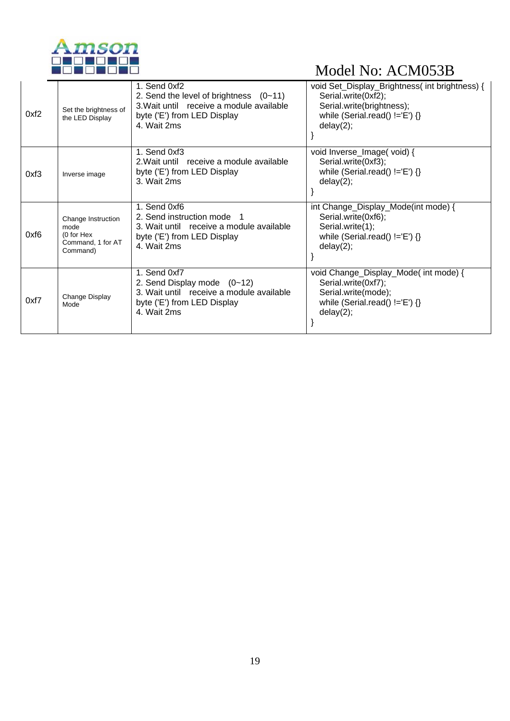

| 0xf2 | Set the brightness of<br>the LED Display                                  | 1. Send 0xf2<br>2. Send the level of brightness $(0-11)$<br>3. Wait until receive a module available<br>byte ('E') from LED Display<br>4. Wait 2ms | void Set_Display_Brightness( int brightness) {<br>Serial.write(0xf2);<br>Serial.write(brightness);<br>while (Serial.read() $!=E'$ ) {}<br>delay(2); |
|------|---------------------------------------------------------------------------|----------------------------------------------------------------------------------------------------------------------------------------------------|-----------------------------------------------------------------------------------------------------------------------------------------------------|
| 0xf3 | Inverse image                                                             | 1. Send 0xf3<br>2. Wait until receive a module available<br>byte ('E') from LED Display<br>3. Wait 2ms                                             | void Inverse_Image(void) {<br>Serial.write(0xf3);<br>while (Serial.read() $!=E'$ ) {}<br>delay(2);                                                  |
| 0xf6 | Change Instruction<br>mode<br>(0 for Hex<br>Command, 1 for AT<br>Command) | 1. Send 0xf6<br>2. Send instruction mode 1<br>3. Wait until receive a module available<br>byte ('E') from LED Display<br>4. Wait 2ms               | int Change_Display_Mode(int mode) {<br>Serial.write(0xf6);<br>Serial.write(1);<br>while (Serial.read() $!=E'$ ) {}<br>delay(2);                     |
| 0xf7 | Change Display<br>Mode                                                    | 1. Send 0xf7<br>2. Send Display mode $(0-12)$<br>3. Wait until receive a module available<br>byte ('E') from LED Display<br>4. Wait 2ms            | void Change_Display_Mode( int mode) {<br>Serial.write(0xf7);<br>Serial.write(mode);<br>while (Serial.read() $!=E'$ ) {}<br>delay(2);                |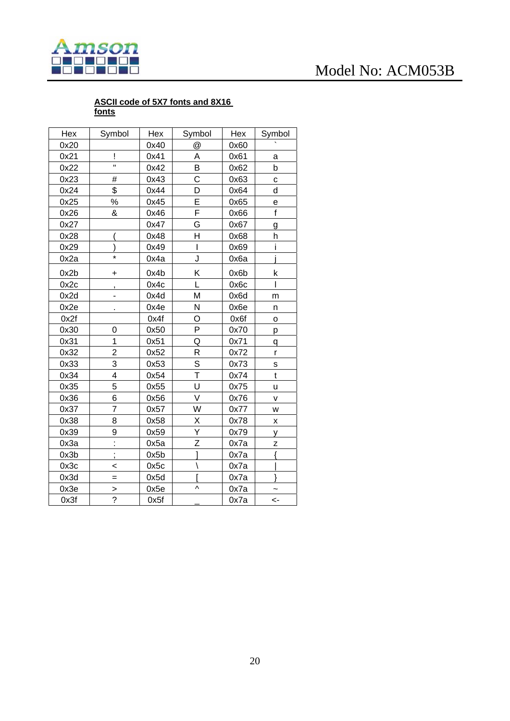

#### **ASCII code of 5X7 fonts and 8X16 fonts**

Hex Symbol Hex Symbol Hex Symbol 0x20 0x40 @ 0x60 \ 0x21 | | 0x41 | A | 0x61 | a

| 0x22 | $\mathbf H$              | 0x42 | В              | 0x62 | b              |
|------|--------------------------|------|----------------|------|----------------|
| 0x23 | #                        | 0x43 | C              | 0x63 | С              |
| 0x24 | \$                       | 0x44 | D              | 0x64 | d              |
| 0x25 | ℅                        | 0x45 | E              | 0x65 | е              |
| 0x26 | &                        | 0x46 | F              | 0x66 | f              |
| 0x27 |                          | 0x47 | G              | 0x67 | g              |
| 0x28 |                          | 0x48 | H              | 0x68 | h              |
| 0x29 |                          | 0x49 | $\overline{1}$ | 0x69 | i              |
| 0x2a | $\star$                  | 0x4a | J              | 0x6a |                |
| 0x2b | $\ddot{}$                | 0x4b | Κ              | 0x6b | k              |
| 0x2c | ,                        | 0x4c | L              | 0x6c |                |
| 0x2d | -                        | 0x4d | M              | 0x6d | m              |
| 0x2e |                          | 0x4e | N              | 0x6e | n              |
| 0x2f |                          | 0x4f | O              | 0x6f | $\circ$        |
| 0x30 | 0                        | 0x50 | P              | 0x70 | p              |
| 0x31 | 1                        | 0x51 | Q              | 0x71 | q              |
| 0x32 | $\overline{2}$           | 0x52 | R              | 0x72 | r              |
| 0x33 | 3                        | 0x53 | $\overline{s}$ | 0x73 | S              |
| 0x34 | 4                        | 0x54 | T              | 0x74 | $\mathfrak{t}$ |
| 0x35 | 5                        | 0x55 | U              | 0x75 | u              |
| 0x36 | 6                        | 0x56 | V              | 0x76 | V              |
| 0x37 | $\overline{7}$           | 0x57 | W              | 0x77 | W              |
| 0x38 | 8                        | 0x58 | Χ              | 0x78 | X              |
| 0x39 | 9                        | 0x59 | Ý              | 0x79 | у              |
| 0x3a | Ì,                       | 0x5a | Z              | 0x7a | z              |
| 0x3b | $\overline{\phantom{a}}$ | 0x5b |                | 0x7a |                |
| 0x3c | $\prec$                  | 0x5c |                | 0x7a |                |
| 0x3d | $=$                      | 0x5d |                | 0x7a | J              |
| 0x3e | >                        | 0x5e | Λ              | 0x7a |                |
| 0x3f | $\overline{?}$           | 0x5f |                | 0x7a | <-             |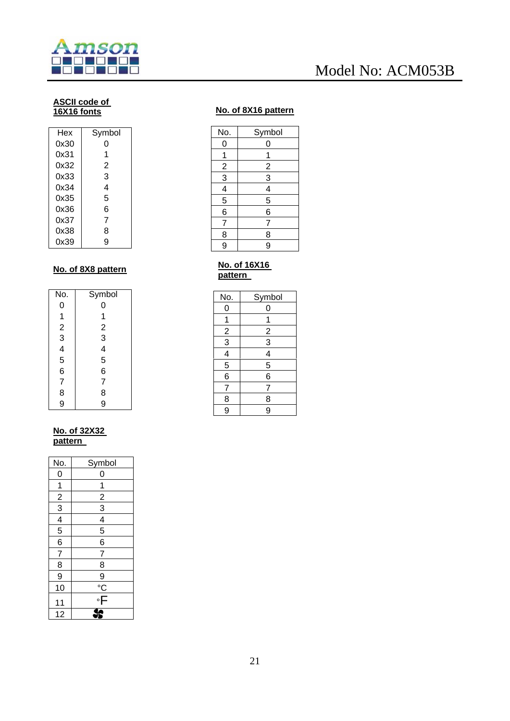

#### **ASCII code of 16X16 fonts**

| Hex  | Symbol |
|------|--------|
| 0x30 | O      |
| 0x31 | 1      |
| 0x32 | 2      |
| 0x33 | 3      |
| 0x34 | 4      |
| 0x35 | 5      |
| 0x36 | 6      |
| 0x37 | 7      |
| 0x38 | 8      |
| 0x39 | g      |

#### **No. of 8X8 pattern**

| No.                                        | Symbol                                              |
|--------------------------------------------|-----------------------------------------------------|
| 0                                          | 0                                                   |
|                                            | 1                                                   |
|                                            |                                                     |
|                                            |                                                     |
|                                            |                                                     |
| 123456                                     | $\begin{array}{c}\n 2 \\ 3 \\ 4 \\ 5\n \end{array}$ |
|                                            | 6                                                   |
|                                            | $\overline{7}$                                      |
| $\begin{array}{c} 7 \\ 8 \\ 9 \end{array}$ | 8                                                   |
|                                            | 9                                                   |

#### **No. of 32X32 pattern**

| No.                         | Symbol                                  |
|-----------------------------|-----------------------------------------|
| 0                           | 0                                       |
| $\overline{1}$              | 1                                       |
|                             |                                         |
| $\frac{2}{3}$ $\frac{4}{5}$ | $\frac{2}{3}$                           |
|                             | $\frac{4}{5}$                           |
|                             |                                         |
| $\overline{6}$              | $\overline{6}$                          |
| $\overline{7}$              | $\overline{7}$                          |
| $\overline{8}$              | 8                                       |
| 9                           |                                         |
| 10                          |                                         |
| 11                          | $\frac{9}{\degree}$ $\frac{8}{\degree}$ |
| 12                          |                                         |

#### **No. of 8X16 pattern**

| No.            | Symbol         |
|----------------|----------------|
| 0              | 0              |
| 1              | 1              |
|                |                |
| $\frac{2}{3}$  | $\frac{2}{3}$  |
|                | $\overline{4}$ |
| 5              | 5              |
| 6              | $\overline{6}$ |
| $\overline{7}$ | 7              |
| 8              | 8              |
| 9              | 9              |
|                |                |

#### **No. of 16X16 pattern**

| No.           | Symbol         |
|---------------|----------------|
| 0             | 0              |
| 1             | 1              |
|               | $\overline{2}$ |
| $\frac{2}{3}$ | $\overline{3}$ |
|               | $\overline{4}$ |
| 5             | 5              |
| 6             | 6              |
| 7             | 7              |
| 8             | 8              |
| 9             | 9              |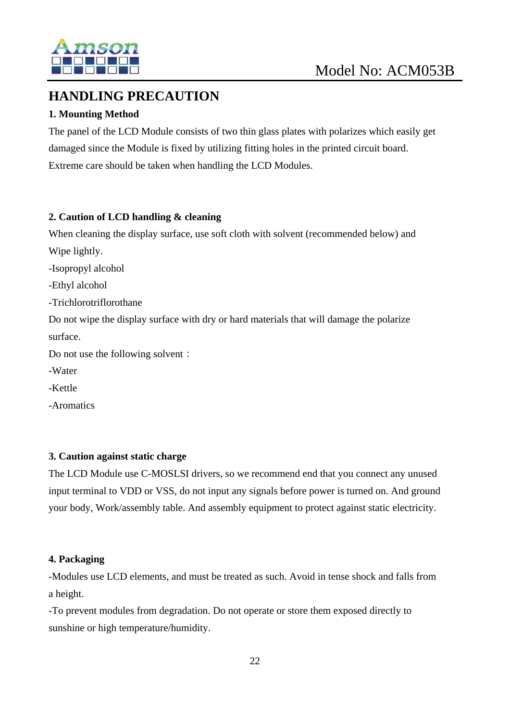

#### **HANDLING PRECAUTION**

#### **1. Mounting Method**

The panel of the LCD Module consists of two thin glass plates with polarizes which easily get damaged since the Module is fixed by utilizing fitting holes in the printed circuit board. Extreme care should be taken when handling the LCD Modules.

#### **2. Caution of LCD handling & cleaning**

When cleaning the display surface, use soft cloth with solvent (recommended below) and Wipe lightly.

-Isopropyl alcohol

-Ethyl alcohol

-Trichlorotriflorothane

Do not wipe the display surface with dry or hard materials that will damage the polarize surface.

Do not use the following solvent:

-Water

-Kettle

-Aromatics

#### **3. Caution against static charge**

The LCD Module use C-MOSLSI drivers, so we recommend end that you connect any unused input terminal to VDD or VSS, do not input any signals before power is turned on. And ground your body, Work/assembly table. And assembly equipment to protect against static electricity.

#### **4. Packaging**

-Modules use LCD elements, and must be treated as such. Avoid in tense shock and falls from a height.

-To prevent modules from degradation. Do not operate or store them exposed directly to sunshine or high temperature/humidity.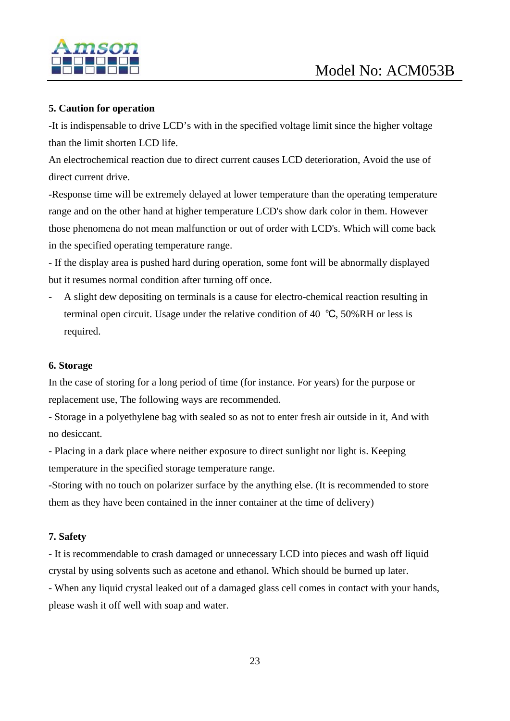

#### **5. Caution for operation**

-It is indispensable to drive LCD's with in the specified voltage limit since the higher voltage than the limit shorten LCD life.

An electrochemical reaction due to direct current causes LCD deterioration, Avoid the use of direct current drive.

-Response time will be extremely delayed at lower temperature than the operating temperature range and on the other hand at higher temperature LCD's show dark color in them. However those phenomena do not mean malfunction or out of order with LCD's. Which will come back in the specified operating temperature range.

- If the display area is pushed hard during operation, some font will be abnormally displayed but it resumes normal condition after turning off once.

- A slight dew depositing on terminals is a cause for electro-chemical reaction resulting in terminal open circuit. Usage under the relative condition of 40 ℃, 50%RH or less is required.

#### **6. Storage**

In the case of storing for a long period of time (for instance. For years) for the purpose or replacement use, The following ways are recommended.

- Storage in a polyethylene bag with sealed so as not to enter fresh air outside in it, And with no desiccant.

- Placing in a dark place where neither exposure to direct sunlight nor light is. Keeping temperature in the specified storage temperature range.

-Storing with no touch on polarizer surface by the anything else. (It is recommended to store them as they have been contained in the inner container at the time of delivery)

#### **7. Safety**

- It is recommendable to crash damaged or unnecessary LCD into pieces and wash off liquid crystal by using solvents such as acetone and ethanol. Which should be burned up later.

- When any liquid crystal leaked out of a damaged glass cell comes in contact with your hands, please wash it off well with soap and water.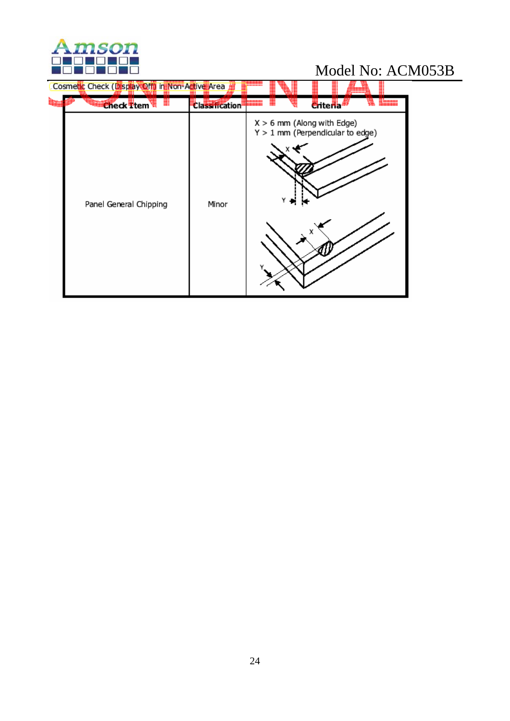

| Cosmetic Check (Display Off) in Non-Active Area<br><b>Check Ttem</b> | <b>Classification</b> | <b>C</b> riteria                                                        |  |
|----------------------------------------------------------------------|-----------------------|-------------------------------------------------------------------------|--|
| Panel General Chipping                                               | Minor                 | $X > 6$ mm (Along with Edge)<br>$Y > 1$ mm (Perpendicular to edge)<br>х |  |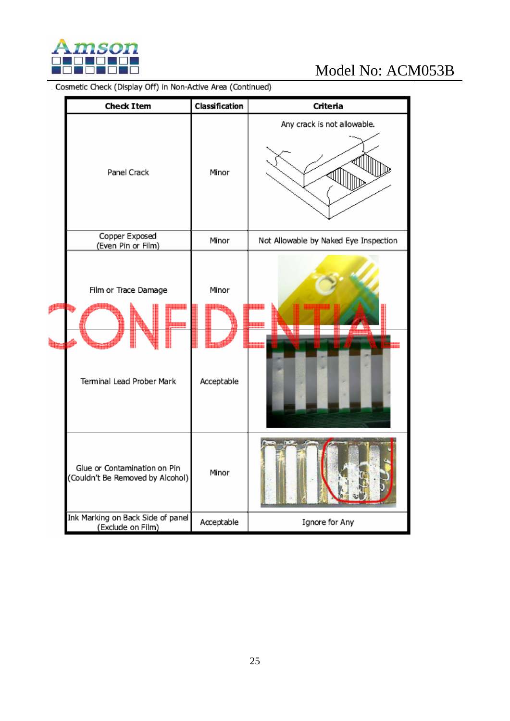

|  | <b>Check Item</b>                                                | Classification      | Criteria                              |
|--|------------------------------------------------------------------|---------------------|---------------------------------------|
|  | Panel Crack                                                      | Minor               | Any crack is not allowable.           |
|  | Copper Exposed<br>(Even Pin or Film)                             | Minor               | Not Allowable by Naked Eye Inspection |
|  | Film or Trace Damage<br>Terminal Lead Prober Mark                | Minor<br>Acceptable |                                       |
|  | Glue or Contamination on Pin<br>(Couldn't Be Removed by Alcohol) | Minor               |                                       |
|  | Ink Marking on Back Side of panel<br>(Exclude on Film)           | Acceptable          | Ignore for Any                        |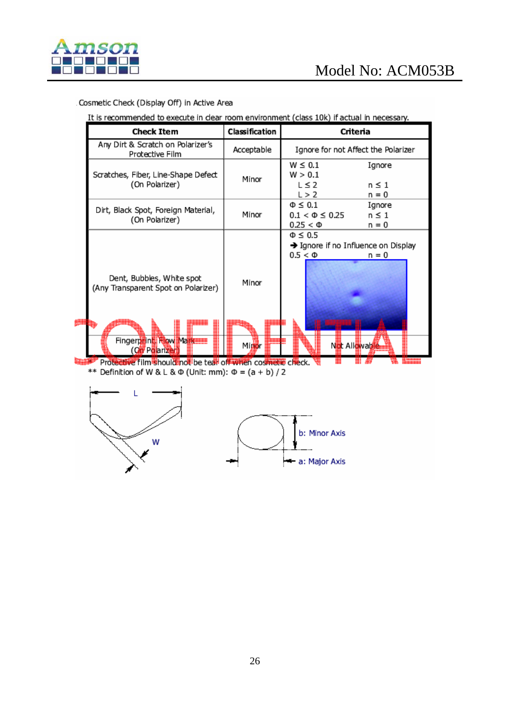

#### Cosmetic Check (Display Off) in Active Area

It is recommended to execute in clear room environment (class 10k) if actual in necessary.

| <b>Check Item</b>                                                                                                | Classification | Criteria                                                                                         |  |  |
|------------------------------------------------------------------------------------------------------------------|----------------|--------------------------------------------------------------------------------------------------|--|--|
| Any Dirt & Scratch on Polarizer's<br>Protective Film                                                             | Acceptable     | Ignore for not Affect the Polarizer                                                              |  |  |
| Scratches, Fiber, Line-Shape Defect<br>(On Polarizer)                                                            | Minor          | $W \leq 0.1$<br>Ignore<br>W > 0.1<br>$L \leq 2$<br>$n \leq 1$<br>L > 2<br>n = 0                  |  |  |
| Dirt, Black Spot, Foreign Material,<br>(On Polarizer)                                                            | Minor          | $\Phi \leq 0.1$<br>Ignore<br>$0.1 < \Phi \leq 0.25$<br>$n \leq 1$<br>$0.25 < \Phi$<br>n = 0      |  |  |
| Dent, Bubbles, White spot<br>(Any Transparent Spot on Polarizer)<br>Fingerprint, How Markette<br>(Oil Polarizer) | Minor<br>Minor | $\Phi \leq 0.5$<br>→ Ignore if no Influence on Display<br>$0.5 < \Phi$<br>n = 0<br>Not Allowable |  |  |
| Protective film should not be tear off when cosmetic check.                                                      |                |                                                                                                  |  |  |

\*\* Definition of W & L &  $\Phi$  (Unit: mm):  $\Phi = (a + b)/2$